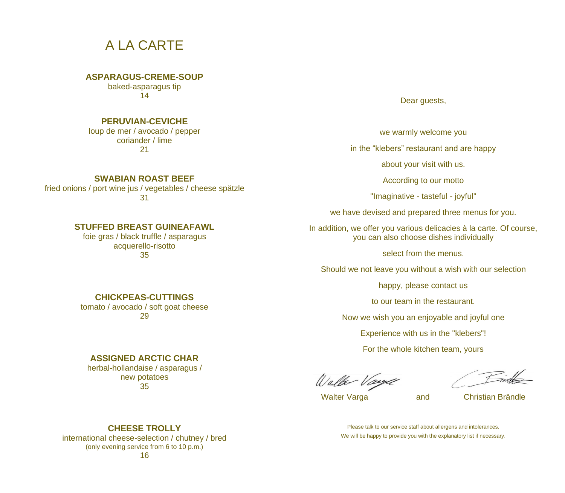## A LA CARTE

#### **ASPARAGUS-CREME-SOUP**

baked-asparagus tip 14

### **PERUVIAN-CEVICHE**

loup de mer / avocado / pepper coriander / lime 21

#### **SWABIAN ROAST BEEF**

fried onions / port wine jus / vegetables / cheese spätzle 31

## **STUFFED BREAST GUINEAFAWL**

foie gras / black truffle / asparagus acquerello-risotto 35

### **CHICKPEAS-CUTTINGS**

tomato / avocado / soft goat cheese 29

## **ASSIGNED ARCTIC CHAR**

herbal-hollandaise / asparagus / new potatoes 35

Dear guests,

we warmly welcome you

in the "klebers" restaurant and are happy

about your visit with us.

According to our motto

"Imaginative - tasteful - joyful"

we have devised and prepared three menus for you.

In addition, we offer you various delicacies à la carte. Of course, you can also choose dishes individually

select from the menus.

Should we not leave you without a wish with our selection

happy, please contact us

to our team in the restaurant.

Now we wish you an enjoyable and joyful one

Experience with us in the "klebers"!

For the whole kitchen team, yours

Walter Vaye

Walter Varga and Christian Brändle

**CHEESE TROLLY**

international cheese-selection / chutney / bred (only evening service from 6 to 10 p.m.) 16

Please talk to our service staff about allergens and intolerances. We will be happy to provide you with the explanatory list if necessary.